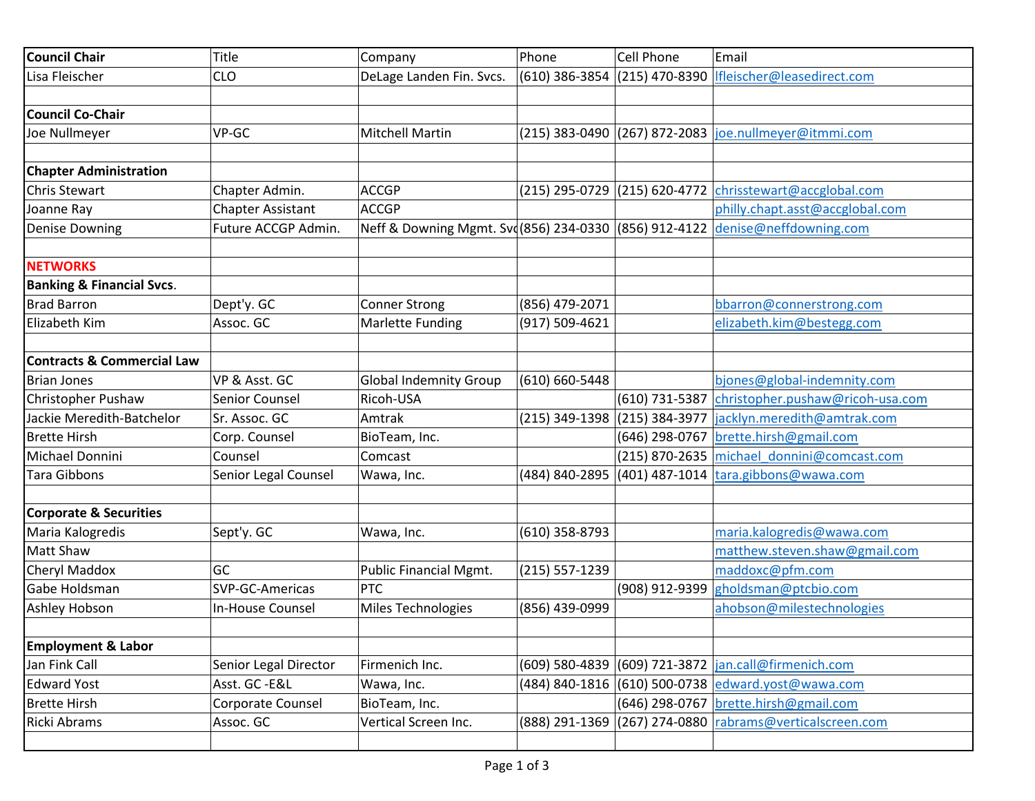| Council Chair                         | Title                    | Company                                               | Phone          | <b>Cell Phone</b> | Email                                                    |
|---------------------------------------|--------------------------|-------------------------------------------------------|----------------|-------------------|----------------------------------------------------------|
| Lisa Fleischer                        | <b>CLO</b>               | DeLage Landen Fin. Svcs.                              | (610) 386-3854 | (215) 470-8390    | Ifleischer@leasedirect.com                               |
|                                       |                          |                                                       |                |                   |                                                          |
| Council Co-Chair                      |                          |                                                       |                |                   |                                                          |
| Joe Nullmeyer                         | VP-GC                    | <b>Mitchell Martin</b>                                | (215) 383-0490 |                   | (267) 872-2083  joe.nullmeyer@itmmi.com                  |
|                                       |                          |                                                       |                |                   |                                                          |
| <b>Chapter Administration</b>         |                          |                                                       |                |                   |                                                          |
| <b>Chris Stewart</b>                  | Chapter Admin.           | <b>ACCGP</b>                                          |                |                   | (215) 295-0729 (215) 620-4772 chrisstewart@accglobal.com |
| Joanne Ray                            | <b>Chapter Assistant</b> | <b>ACCGP</b>                                          |                |                   | philly.chapt.asst@accglobal.com                          |
| <b>Denise Downing</b>                 | Future ACCGP Admin.      | Neff & Downing Mgmt. Svd(856) 234-0330 (856) 912-4122 |                |                   | denise@neffdowning.com                                   |
|                                       |                          |                                                       |                |                   |                                                          |
| <b>NETWORKS</b>                       |                          |                                                       |                |                   |                                                          |
| <b>Banking &amp; Financial Svcs.</b>  |                          |                                                       |                |                   |                                                          |
| <b>Brad Barron</b>                    | Dept'y. GC               | <b>Conner Strong</b>                                  | (856) 479-2071 |                   | bbarron@connerstrong.com                                 |
| Elizabeth Kim                         | Assoc. GC                | Marlette Funding                                      | (917) 509-4621 |                   | elizabeth.kim@bestegg.com                                |
|                                       |                          |                                                       |                |                   |                                                          |
| <b>Contracts &amp; Commercial Law</b> |                          |                                                       |                |                   |                                                          |
| <b>Brian Jones</b>                    | VP & Asst. GC            | <b>Global Indemnity Group</b>                         | (610) 660-5448 |                   | bjones@global-indemnity.com                              |
| Christopher Pushaw                    | Senior Counsel           | Ricoh-USA                                             |                | (610) 731-5387    | christopher.pushaw@ricoh-usa.com                         |
| Jackie Meredith-Batchelor             | Sr. Assoc. GC            | Amtrak                                                | (215) 349-1398 | $(215)$ 384-3977  | jacklyn.meredith@amtrak.com                              |
| <b>Brette Hirsh</b>                   | Corp. Counsel            | BioTeam, Inc.                                         |                | (646) 298-0767    | brette.hirsh@gmail.com                                   |
| Michael Donnini                       | Counsel                  | Comcast                                               |                | (215) 870-2635    | michael donnini@comcast.com                              |
| <b>Tara Gibbons</b>                   | Senior Legal Counsel     | Wawa, Inc.                                            | (484) 840-2895 | (401) 487-1014    | tara.gibbons@wawa.com                                    |
|                                       |                          |                                                       |                |                   |                                                          |
| <b>Corporate &amp; Securities</b>     |                          |                                                       |                |                   |                                                          |
| Maria Kalogredis                      | Sept'y. GC               | Wawa, Inc.                                            | (610) 358-8793 |                   | maria.kalogredis@wawa.com                                |
| Matt Shaw                             |                          |                                                       |                |                   | matthew.steven.shaw@gmail.com                            |
| Cheryl Maddox                         | GC                       | Public Financial Mgmt.                                | (215) 557-1239 |                   | maddoxc@pfm.com                                          |
| Gabe Holdsman                         | SVP-GC-Americas          | <b>PTC</b>                                            |                | (908) 912-9399    | gholdsman@ptcbio.com                                     |
| Ashley Hobson                         | In-House Counsel         | Miles Technologies                                    | (856) 439-0999 |                   | ahobson@milestechnologies                                |
|                                       |                          |                                                       |                |                   |                                                          |
| <b>Employment &amp; Labor</b>         |                          |                                                       |                |                   |                                                          |
| Jan Fink Call                         | Senior Legal Director    | Firmenich Inc.                                        |                |                   | (609) 580-4839 (609) 721-3872 jan.call@firmenich.com     |
| <b>Edward Yost</b>                    | Asst. GC -E&L            | Wawa, Inc.                                            |                |                   | (484) 840-1816 (610) 500-0738 edward.yost@wawa.com       |
| <b>Brette Hirsh</b>                   | Corporate Counsel        | BioTeam, Inc.                                         |                |                   | (646) 298-0767 brette.hirsh@gmail.com                    |
| Ricki Abrams                          | Assoc. GC                | Vertical Screen Inc.                                  | (888) 291-1369 | (267) 274-0880    | rabrams@verticalscreen.com                               |
|                                       |                          |                                                       |                |                   |                                                          |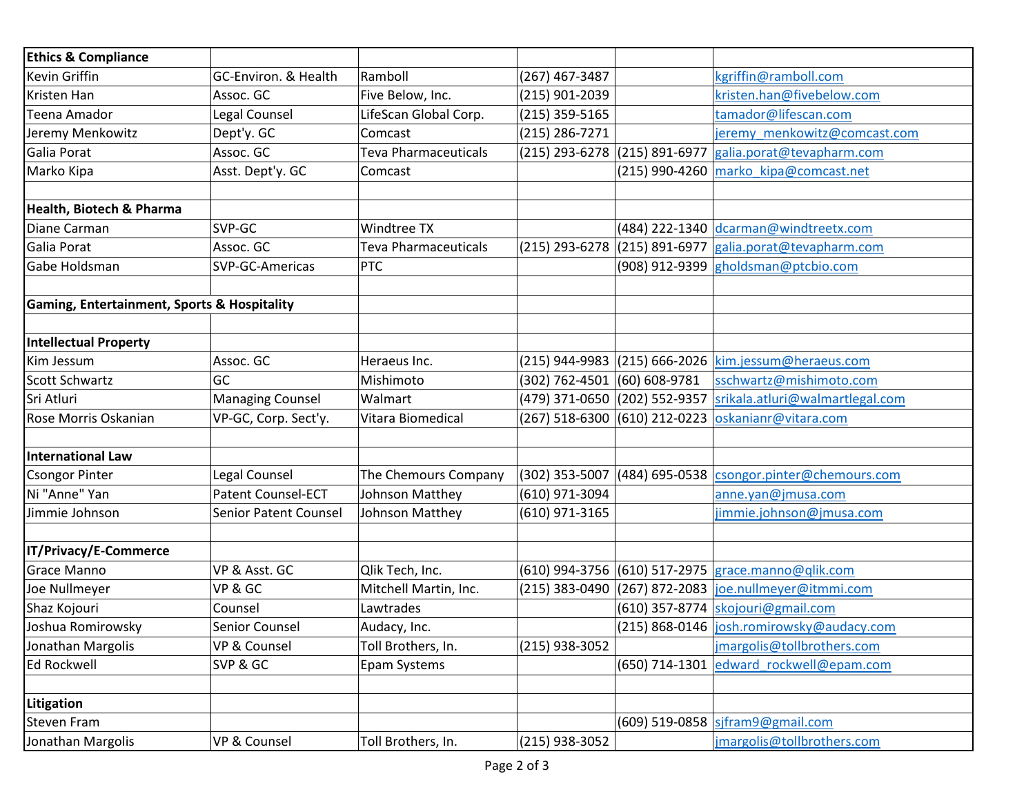| <b>Ethics &amp; Compliance</b>              |                         |                             |                                |                                 |                                             |
|---------------------------------------------|-------------------------|-----------------------------|--------------------------------|---------------------------------|---------------------------------------------|
| Kevin Griffin                               | GC-Environ. & Health    | Ramboll                     | (267) 467-3487                 |                                 | kgriffin@ramboll.com                        |
| Kristen Han                                 | Assoc. GC               | Five Below, Inc.            | (215) 901-2039                 |                                 | kristen.han@fivebelow.com                   |
| Teena Amador                                | Legal Counsel           | LifeScan Global Corp.       | (215) 359-5165                 |                                 | tamador@lifescan.com                        |
| Jeremy Menkowitz                            | Dept'y. GC              | Comcast                     | (215) 286-7271                 |                                 | jeremy menkowitz@comcast.com                |
| Galia Porat                                 | Assoc. GC               | <b>Teva Pharmaceuticals</b> |                                | $(215)$ 293-6278 (215) 891-6977 | galia.porat@tevapharm.com                   |
| Marko Kipa                                  | Asst. Dept'y. GC        | Comcast                     |                                | (215) 990-4260                  | marko kipa@comcast.net                      |
|                                             |                         |                             |                                |                                 |                                             |
| Health, Biotech & Pharma                    |                         |                             |                                |                                 |                                             |
| Diane Carman                                | SVP-GC                  | Windtree TX                 |                                | (484) 222-1340                  | dcarman@windtreetx.com                      |
| Galia Porat                                 | Assoc. GC               | <b>Teva Pharmaceuticals</b> | (215) 293-6278                 | $(215) 891 - 6977$              | galia.porat@tevapharm.com                   |
| Gabe Holdsman                               | SVP-GC-Americas         | <b>PTC</b>                  |                                | (908) 912-9399                  | gholdsman@ptcbio.com                        |
|                                             |                         |                             |                                |                                 |                                             |
| Gaming, Entertainment, Sports & Hospitality |                         |                             |                                |                                 |                                             |
|                                             |                         |                             |                                |                                 |                                             |
| <b>Intellectual Property</b>                |                         |                             |                                |                                 |                                             |
| Kim Jessum                                  | Assoc. GC               | Heraeus Inc.                | (215) 944-9983                 | $(215) 666 - 2026$              | kim.jessum@heraeus.com                      |
| <b>Scott Schwartz</b>                       | GC                      | Mishimoto                   | $(302)$ 762-4501 (60) 608-9781 |                                 | sschwartz@mishimoto.com                     |
| Sri Atluri                                  | <b>Managing Counsel</b> | Walmart                     | (479) 371-0650                 | $(202)$ 552-9357                | srikala.atluri@walmartlegal.com             |
| Rose Morris Oskanian                        | VP-GC, Corp. Sect'y.    | Vitara Biomedical           | (267) 518-6300                 | $(610)$ 212-0223                | oskanianr@vitara.com                        |
|                                             |                         |                             |                                |                                 |                                             |
| International Law                           |                         |                             |                                |                                 |                                             |
| <b>Csongor Pinter</b>                       | Legal Counsel           | The Chemours Company        | (302) 353-5007                 | (484) 695-0538                  | csongor.pinter@chemours.com                 |
| Ni "Anne" Yan                               | Patent Counsel-ECT      | Johnson Matthey             | (610) 971-3094                 |                                 | anne.yan@jmusa.com                          |
| Jimmie Johnson                              | Senior Patent Counsel   | Johnson Matthey             | (610) 971-3165                 |                                 | jimmie.johnson@jmusa.com                    |
|                                             |                         |                             |                                |                                 |                                             |
| IT/Privacy/E-Commerce                       |                         |                             |                                |                                 |                                             |
| <b>Grace Manno</b>                          | VP & Asst. GC           | Qlik Tech, Inc.             |                                | (610) 994-3756 (610) 517-2975   | grace.manno@qlik.com                        |
| Joe Nullmeyer                               | VP & GC                 | Mitchell Martin, Inc.       | (215) 383-0490                 | $(267)$ 872-2083                | joe.nullmeyer@itmmi.com                     |
| Shaz Kojouri                                | Counsel                 | Lawtrades                   |                                |                                 | (610) 357-8774 skojouri@gmail.com           |
| Joshua Romirowsky                           | Senior Counsel          | Audacy, Inc.                |                                |                                 | (215) 868-0146   josh.romirowsky@audacy.com |
| Jonathan Margolis                           | VP & Counsel            | Toll Brothers, In.          | (215) 938-3052                 |                                 | jmargolis@tollbrothers.com                  |
| <b>Ed Rockwell</b>                          | SVP & GC                | Epam Systems                |                                |                                 | (650) 714-1301 edward rockwell@epam.com     |
|                                             |                         |                             |                                |                                 |                                             |
| Litigation                                  |                         |                             |                                |                                 |                                             |
| <b>Steven Fram</b>                          |                         |                             |                                | (609) 519-0858                  | sjfram9@gmail.com                           |
| Jonathan Margolis                           | VP & Counsel            | Toll Brothers, In.          | (215) 938-3052                 |                                 | jmargolis@tollbrothers.com                  |